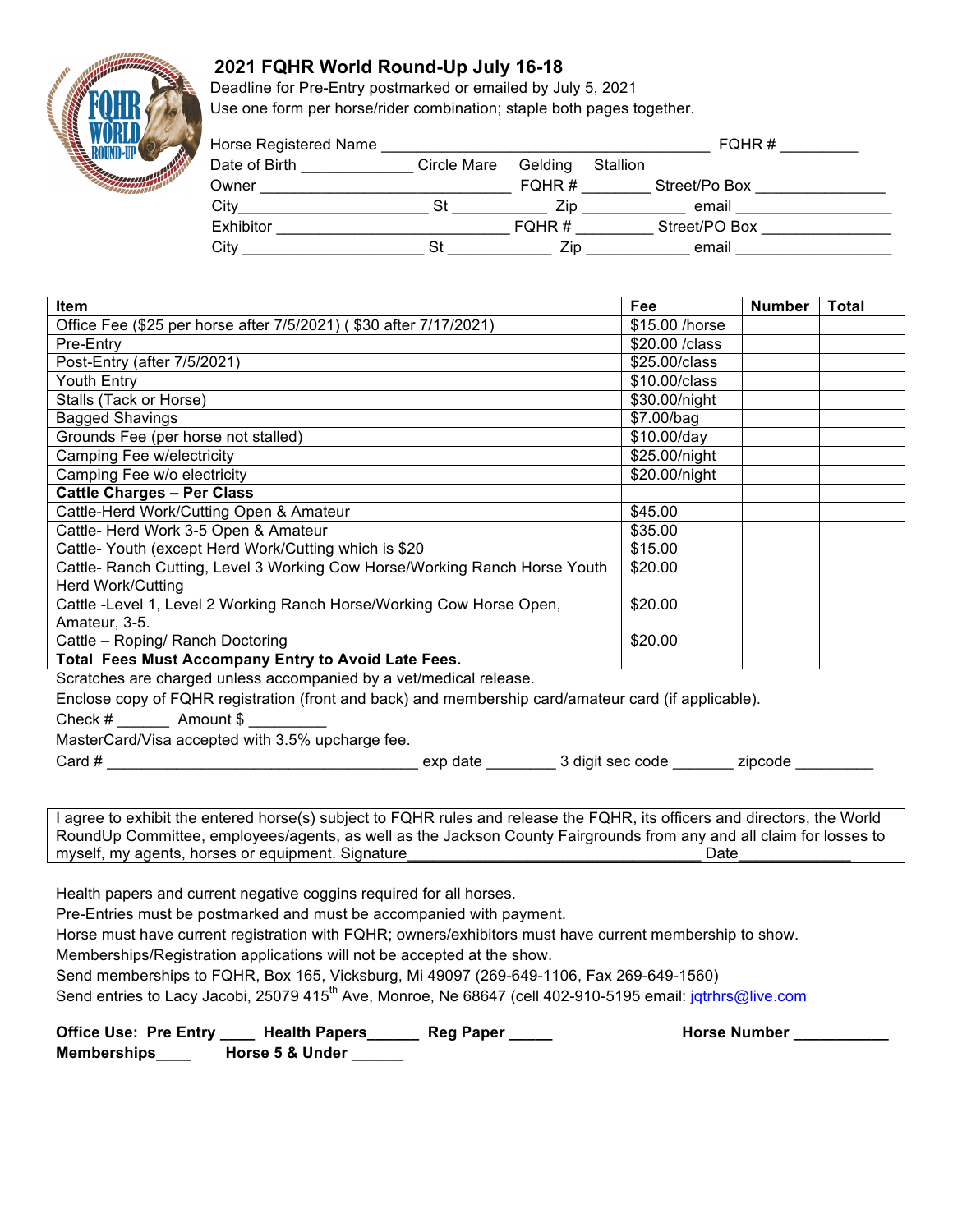## **2021 FQHR World Round-Up July 16-18**

Deadline for Pre-Entry postmarked or emailed by July 5, 2021 Use one form per horse/rider combination; staple both pages together.

| Horse Registered Name |             |         |          | FQHR#         |  |
|-----------------------|-------------|---------|----------|---------------|--|
| Date of Birth         | Circle Mare | Gelding | Stallion |               |  |
| Owner                 |             | FQHR#   |          | Street/Po Box |  |
| City                  | St          | Zip.    |          | email         |  |
| Exhibitor             |             | FQHR#   |          | Street/PO Box |  |
| City                  | St.         | Zip     |          | email         |  |

| <b>Item</b>                                                                | Fee             | <b>Number</b> | <b>Total</b> |
|----------------------------------------------------------------------------|-----------------|---------------|--------------|
| Office Fee (\$25 per horse after 7/5/2021) (\$30 after 7/17/2021)          | \$15.00 /horse  |               |              |
| Pre-Entry                                                                  | \$20,00 / class |               |              |
| Post-Entry (after 7/5/2021)                                                | \$25,00/class   |               |              |
| <b>Youth Entry</b>                                                         | \$10,00/class   |               |              |
| Stalls (Tack or Horse)                                                     | \$30.00/night   |               |              |
| <b>Bagged Shavings</b>                                                     | \$7.00/bag      |               |              |
| Grounds Fee (per horse not stalled)                                        | \$10.00/day     |               |              |
| Camping Fee w/electricity                                                  | \$25.00/night   |               |              |
| Camping Fee w/o electricity                                                | \$20.00/night   |               |              |
| <b>Cattle Charges - Per Class</b>                                          |                 |               |              |
| Cattle-Herd Work/Cutting Open & Amateur                                    | \$45.00         |               |              |
| Cattle- Herd Work 3-5 Open & Amateur                                       | \$35.00         |               |              |
| Cattle- Youth (except Herd Work/Cutting which is \$20                      | \$15.00         |               |              |
| Cattle- Ranch Cutting, Level 3 Working Cow Horse/Working Ranch Horse Youth | \$20.00         |               |              |
| <b>Herd Work/Cutting</b>                                                   |                 |               |              |
| Cattle -Level 1, Level 2 Working Ranch Horse/Working Cow Horse Open,       | \$20.00         |               |              |
| Amateur, 3-5.                                                              |                 |               |              |
| Cattle - Roping/ Ranch Doctoring                                           | \$20.00         |               |              |
| Total Fees Must Accompany Entry to Avoid Late Fees.                        |                 |               |              |

Scratches are charged unless accompanied by a vet/medical release.

Enclose copy of FQHR registration (front and back) and membership card/amateur card (if applicable).

Check # Amount \$

MasterCard/Visa accepted with 3.5% upcharge fee.

Card # \_\_\_\_\_\_\_\_\_\_\_\_\_\_\_\_\_\_\_\_\_\_\_\_\_\_\_\_\_\_\_\_\_\_\_\_ exp date \_\_\_\_\_\_\_\_ 3 digit sec code \_\_\_\_\_\_\_ zipcode \_\_\_\_\_\_\_\_\_

I agree to exhibit the entered horse(s) subject to FQHR rules and release the FQHR, its officers and directors, the World RoundUp Committee, employees/agents, as well as the Jackson County Fairgrounds from any and all claim for losses to myself, my agents, horses or equipment. Signature example that the same of the Date

Health papers and current negative coggins required for all horses.

Pre-Entries must be postmarked and must be accompanied with payment.

Horse must have current registration with FQHR; owners/exhibitors must have current membership to show.

Memberships/Registration applications will not be accepted at the show.

Send memberships to FQHR, Box 165, Vicksburg, Mi 49097 (269-649-1106, Fax 269-649-1560)

Send entries to Lacy Jacobi, 25079 415<sup>th</sup> Ave, Monroe, Ne 68647 (cell 402-910-5195 email: jqtrhrs@live.com

| Office Use: Pre Entry | <b>Health Papers</b> | <b>Reg Paper</b> |
|-----------------------|----------------------|------------------|
| Memberships           | Horse 5 & Under      |                  |

Horse Number \_\_\_\_\_\_\_\_\_\_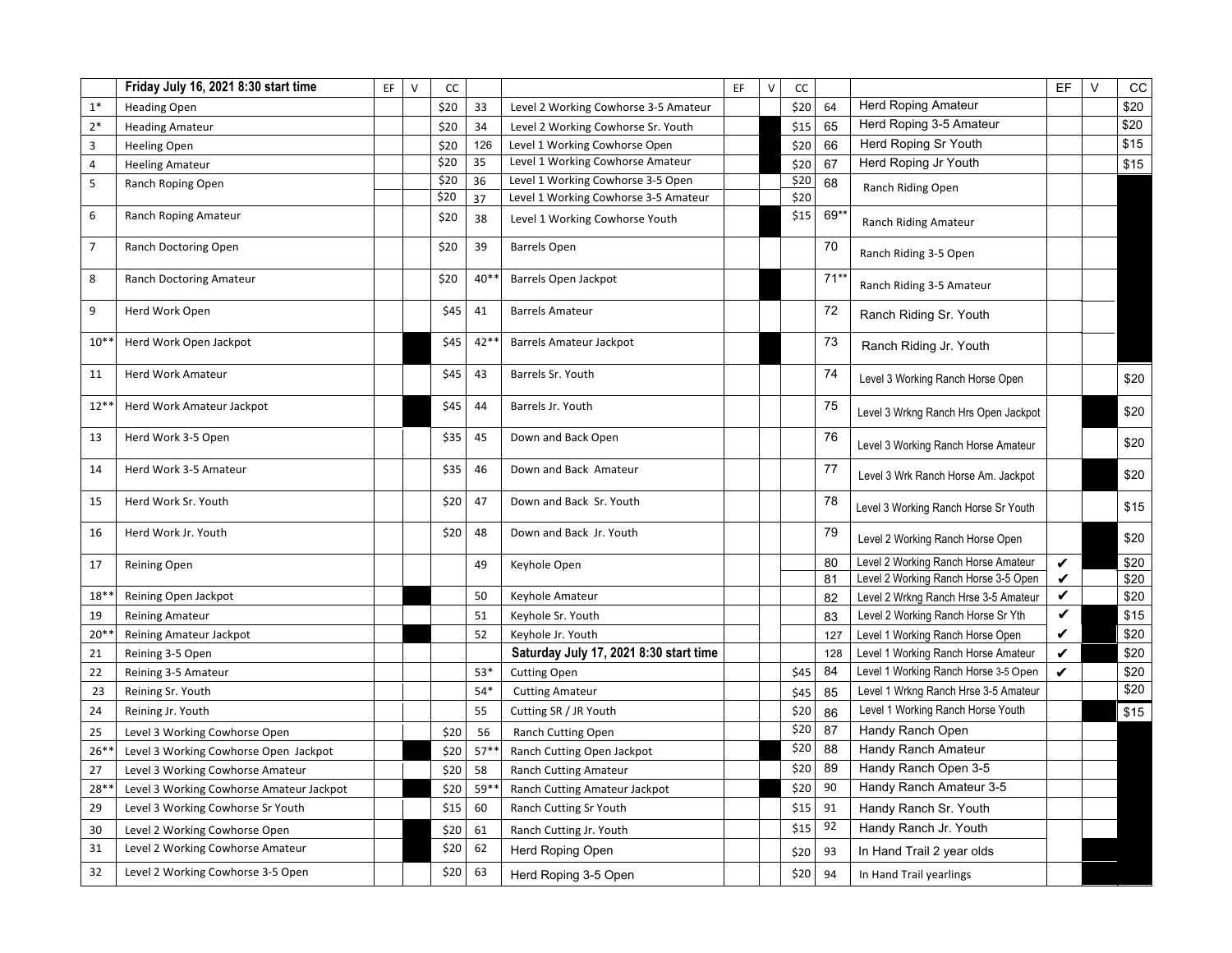|                | Friday July 16, 2021 8:30 start time     | EF. | $\vee$ | cc   |       |                                        | EF | $\vee$ | cc   |       |                                      | EF           | $\vee$ | CC   |
|----------------|------------------------------------------|-----|--------|------|-------|----------------------------------------|----|--------|------|-------|--------------------------------------|--------------|--------|------|
| $1*$           | <b>Heading Open</b>                      |     |        | \$20 | 33    | Level 2 Working Cowhorse 3-5 Amateur   |    |        | \$20 | 64    | <b>Herd Roping Amateur</b>           |              |        | \$20 |
| $2*$           | <b>Heading Amateur</b>                   |     |        | \$20 | 34    | Level 2 Working Cowhorse Sr. Youth     |    |        | \$15 | 65    | Herd Roping 3-5 Amateur              |              |        | \$20 |
| 3              | <b>Heeling Open</b>                      |     |        | \$20 | 126   | Level 1 Working Cowhorse Open          |    |        | \$20 | 66    | Herd Roping Sr Youth                 |              |        | \$15 |
| $\overline{4}$ | <b>Heeling Amateur</b>                   |     |        | \$20 | 35    | Level 1 Working Cowhorse Amateur       |    |        | \$20 | 67    | Herd Roping Jr Youth                 |              |        | \$15 |
| 5              | Ranch Roping Open                        |     |        | \$20 | 36    | Level 1 Working Cowhorse 3-5 Open      |    |        | \$20 | 68    | Ranch Riding Open                    |              |        |      |
|                |                                          |     |        | \$20 | 37    | Level 1 Working Cowhorse 3-5 Amateur   |    |        | \$20 |       |                                      |              |        |      |
| 6              | Ranch Roping Amateur                     |     |        | \$20 | 38    | Level 1 Working Cowhorse Youth         |    |        | \$15 | 69*   | Ranch Riding Amateur                 |              |        |      |
| $\overline{7}$ | Ranch Doctoring Open                     |     |        | \$20 | 39    | <b>Barrels Open</b>                    |    |        |      | 70    | Ranch Riding 3-5 Open                |              |        |      |
| 8              | Ranch Doctoring Amateur                  |     |        | \$20 | $40*$ | Barrels Open Jackpot                   |    |        |      | $71*$ | Ranch Riding 3-5 Amateur             |              |        |      |
| 9              | Herd Work Open                           |     |        | \$45 | 41    | <b>Barrels Amateur</b>                 |    |        |      | 72    | Ranch Riding Sr. Youth               |              |        |      |
| $10*$          | Herd Work Open Jackpot                   |     |        | \$45 | 42*   | <b>Barrels Amateur Jackpot</b>         |    |        |      | 73    | Ranch Riding Jr. Youth               |              |        |      |
| 11             | Herd Work Amateur                        |     |        | \$45 | 43    | Barrels Sr. Youth                      |    |        |      | 74    | Level 3 Working Ranch Horse Open     |              |        | \$20 |
| $12*$          | Herd Work Amateur Jackpot                |     |        | \$45 | 44    | Barrels Jr. Youth                      |    |        |      | 75    | Level 3 Wrkng Ranch Hrs Open Jackpot |              |        | \$20 |
| 13             | Herd Work 3-5 Open                       |     |        | \$35 | 45    | Down and Back Open                     |    |        |      | 76    | Level 3 Working Ranch Horse Amateur  |              |        | \$20 |
| 14             | Herd Work 3-5 Amateur                    |     |        | \$35 | 46    | Down and Back Amateur                  |    |        |      | 77    | Level 3 Wrk Ranch Horse Am. Jackpot  |              |        | \$20 |
| 15             | Herd Work Sr. Youth                      |     |        | \$20 | 47    | Down and Back Sr. Youth                |    |        |      | 78    | Level 3 Working Ranch Horse Sr Youth |              |        | \$15 |
| 16             | Herd Work Jr. Youth                      |     |        | \$20 | 48    | Down and Back Jr. Youth                |    |        |      | 79    | Level 2 Working Ranch Horse Open     |              |        | \$20 |
| 17             | <b>Reining Open</b>                      |     |        |      | 49    | Keyhole Open                           |    |        |      | 80    | Level 2 Working Ranch Horse Amateur  | $\checkmark$ |        | \$20 |
|                |                                          |     |        |      |       |                                        |    |        |      | 81    | Level 2 Working Ranch Horse 3-5 Open | V            |        | \$20 |
| $18^*$         | Reining Open Jackpot                     |     |        |      | 50    | Keyhole Amateur                        |    |        |      | 82    | Level 2 Wrkng Ranch Hrse 3-5 Amateur | V            |        | \$20 |
| 19             | <b>Reining Amateur</b>                   |     |        |      | 51    | Keyhole Sr. Youth                      |    |        |      | 83    | Level 2 Working Ranch Horse Sr Yth   | $\checkmark$ |        | \$15 |
| $20*$          | Reining Amateur Jackpot                  |     |        |      | 52    | Keyhole Jr. Youth                      |    |        |      | 127   | Level 1 Working Ranch Horse Open     | V            |        | \$20 |
| 21             | Reining 3-5 Open                         |     |        |      |       | Saturday July 17, 2021 8:30 start time |    |        |      | 128   | Level 1 Working Ranch Horse Amateur  | V            |        | \$20 |
| 22             | Reining 3-5 Amateur                      |     |        |      | $53*$ | <b>Cutting Open</b>                    |    |        | \$45 | 84    | Level 1 Working Ranch Horse 3-5 Open | V            |        | \$20 |
| 23             | Reining Sr. Youth                        |     |        |      | 54*   | <b>Cutting Amateur</b>                 |    |        | \$45 | 85    | Level 1 Wrkng Ranch Hrse 3-5 Amateur |              |        | \$20 |
| 24             | Reining Jr. Youth                        |     |        |      | 55    | Cutting SR / JR Youth                  |    |        | \$20 | 86    | Level 1 Working Ranch Horse Youth    |              |        | \$15 |
| 25             | Level 3 Working Cowhorse Open            |     |        | \$20 | 56    | Ranch Cutting Open                     |    |        | \$20 | 87    | Handy Ranch Open                     |              |        |      |
| $26*$          | Level 3 Working Cowhorse Open Jackpot    |     |        | \$20 | $57*$ | Ranch Cutting Open Jackpot             |    |        | \$20 | 88    | Handy Ranch Amateur                  |              |        |      |
| 27             | Level 3 Working Cowhorse Amateur         |     |        | \$20 | 58    | Ranch Cutting Amateur                  |    |        | \$20 | 89    | Handy Ranch Open 3-5                 |              |        |      |
| 28*            | Level 3 Working Cowhorse Amateur Jackpot |     |        | \$20 | 59*   | Ranch Cutting Amateur Jackpot          |    |        | \$20 | 90    | Handy Ranch Amateur 3-5              |              |        |      |
| 29             | Level 3 Working Cowhorse Sr Youth        |     |        | \$15 | 60    | Ranch Cutting Sr Youth                 |    |        | \$15 | 91    | Handy Ranch Sr. Youth                |              |        |      |
| 30             | Level 2 Working Cowhorse Open            |     |        | \$20 | 61    | Ranch Cutting Jr. Youth                |    |        | \$15 | 92    | Handy Ranch Jr. Youth                |              |        |      |
| 31             | Level 2 Working Cowhorse Amateur         |     |        | \$20 | 62    | Herd Roping Open                       |    |        | \$20 | 93    | In Hand Trail 2 year olds            |              |        |      |
| 32             | Level 2 Working Cowhorse 3-5 Open        |     |        | \$20 | 63    | Herd Roping 3-5 Open                   |    |        | \$20 | 94    | In Hand Trail yearlings              |              |        |      |